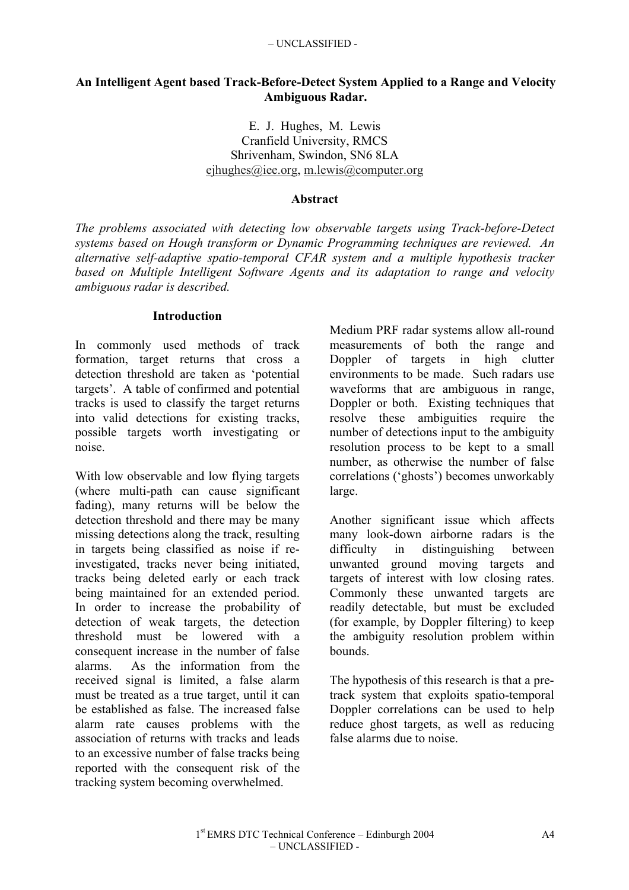### **An Intelligent Agent based Track-Before-Detect System Applied to a Range and Velocity Ambiguous Radar.**

E. J. Hughes, M. Lewis Cranfield University, RMCS Shrivenham, Swindon, SN6 8LA ejhughes@iee.org, m.lewis@computer.org

#### **Abstract**

*The problems associated with detecting low observable targets using Track-before-Detect systems based on Hough transform or Dynamic Programming techniques are reviewed. An alternative self-adaptive spatio-temporal CFAR system and a multiple hypothesis tracker based on Multiple Intelligent Software Agents and its adaptation to range and velocity ambiguous radar is described.*

#### **Introduction**

In commonly used methods of track formation, target returns that cross a detection threshold are taken as 'potential targets'. A table of confirmed and potential tracks is used to classify the target returns into valid detections for existing tracks, possible targets worth investigating or noise.

With low observable and low flying targets (where multi-path can cause significant fading), many returns will be below the detection threshold and there may be many missing detections along the track, resulting in targets being classified as noise if reinvestigated, tracks never being initiated, tracks being deleted early or each track being maintained for an extended period. In order to increase the probability of detection of weak targets, the detection threshold must be lowered with a consequent increase in the number of false alarms. As the information from the received signal is limited, a false alarm must be treated as a true target, until it can be established as false. The increased false alarm rate causes problems with the association of returns with tracks and leads to an excessive number of false tracks being reported with the consequent risk of the tracking system becoming overwhelmed.

Medium PRF radar systems allow all-round measurements of both the range and Doppler of targets in high clutter environments to be made. Such radars use waveforms that are ambiguous in range, Doppler or both. Existing techniques that resolve these ambiguities require the number of detections input to the ambiguity resolution process to be kept to a small number, as otherwise the number of false correlations ('ghosts') becomes unworkably large.

Another significant issue which affects many look-down airborne radars is the difficulty in distinguishing between unwanted ground moving targets and targets of interest with low closing rates. Commonly these unwanted targets are readily detectable, but must be excluded (for example, by Doppler filtering) to keep the ambiguity resolution problem within bounds.

The hypothesis of this research is that a pretrack system that exploits spatio-temporal Doppler correlations can be used to help reduce ghost targets, as well as reducing false alarms due to noise.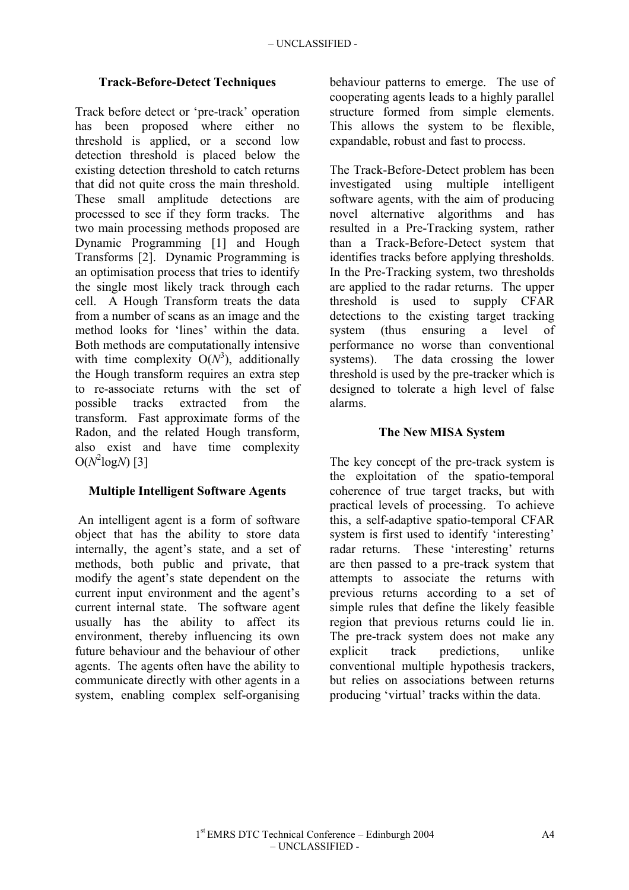## **Track-Before-Detect Techniques**

Track before detect or 'pre-track' operation has been proposed where either no threshold is applied, or a second low detection threshold is placed below the existing detection threshold to catch returns that did not quite cross the main threshold. These small amplitude detections are processed to see if they form tracks. The two main processing methods proposed are Dynamic Programming [1] and Hough Transforms [2]. Dynamic Programming is an optimisation process that tries to identify the single most likely track through each cell. A Hough Transform treats the data from a number of scans as an image and the method looks for 'lines' within the data. Both methods are computationally intensive with time complexity  $O(N^3)$ , additionally the Hough transform requires an extra step to re-associate returns with the set of possible tracks extracted from the transform. Fast approximate forms of the Radon, and the related Hough transform, also exist and have time complexity  $O(N^2 \log N)$  [3]

## **Multiple Intelligent Software Agents**

 An intelligent agent is a form of software object that has the ability to store data internally, the agent's state, and a set of methods, both public and private, that modify the agent's state dependent on the current input environment and the agent's current internal state. The software agent usually has the ability to affect its environment, thereby influencing its own future behaviour and the behaviour of other agents. The agents often have the ability to communicate directly with other agents in a system, enabling complex self-organising

behaviour patterns to emerge. The use of cooperating agents leads to a highly parallel structure formed from simple elements. This allows the system to be flexible, expandable, robust and fast to process.

The Track-Before-Detect problem has been investigated using multiple intelligent software agents, with the aim of producing novel alternative algorithms and has resulted in a Pre-Tracking system, rather than a Track-Before-Detect system that identifies tracks before applying thresholds. In the Pre-Tracking system, two thresholds are applied to the radar returns. The upper threshold is used to supply CFAR detections to the existing target tracking system (thus ensuring a level of performance no worse than conventional systems). The data crossing the lower threshold is used by the pre-tracker which is designed to tolerate a high level of false alarms.

## **The New MISA System**

The key concept of the pre-track system is the exploitation of the spatio-temporal coherence of true target tracks, but with practical levels of processing. To achieve this, a self-adaptive spatio-temporal CFAR system is first used to identify 'interesting' radar returns. These 'interesting' returns are then passed to a pre-track system that attempts to associate the returns with previous returns according to a set of simple rules that define the likely feasible region that previous returns could lie in. The pre-track system does not make any explicit track predictions, unlike conventional multiple hypothesis trackers, but relies on associations between returns producing 'virtual' tracks within the data.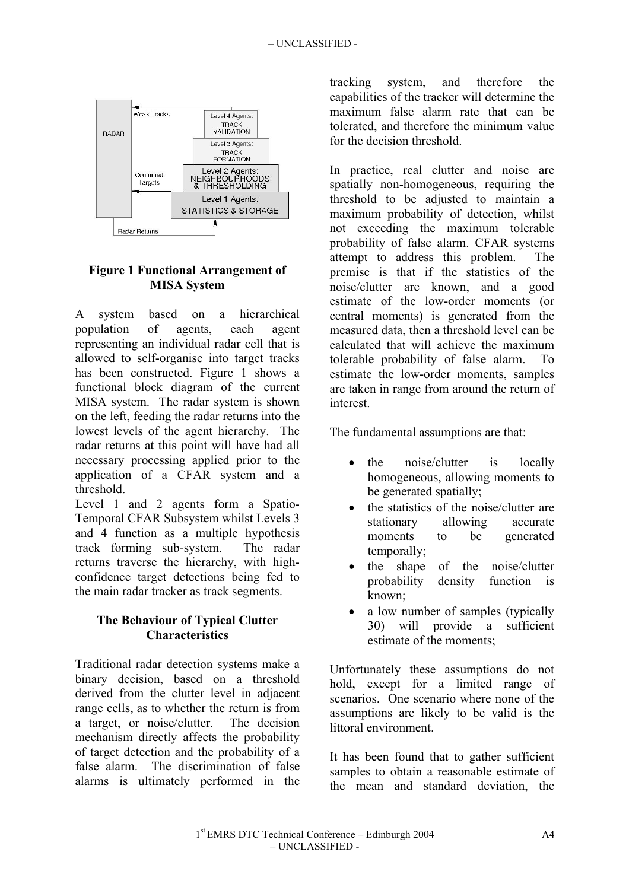

## **Figure 1 Functional Arrangement of MISA System**

A system based on a hierarchical population of agents, each agent representing an individual radar cell that is allowed to self-organise into target tracks has been constructed. Figure 1 shows a functional block diagram of the current MISA system. The radar system is shown on the left, feeding the radar returns into the lowest levels of the agent hierarchy. The radar returns at this point will have had all necessary processing applied prior to the application of a CFAR system and a threshold.

Level 1 and 2 agents form a Spatio-Temporal CFAR Subsystem whilst Levels 3 and 4 function as a multiple hypothesis track forming sub-system. The radar returns traverse the hierarchy, with highconfidence target detections being fed to the main radar tracker as track segments.

## **The Behaviour of Typical Clutter Characteristics**

Traditional radar detection systems make a binary decision, based on a threshold derived from the clutter level in adjacent range cells, as to whether the return is from a target, or noise/clutter. The decision mechanism directly affects the probability of target detection and the probability of a false alarm. The discrimination of false alarms is ultimately performed in the

tracking system, and therefore the capabilities of the tracker will determine the maximum false alarm rate that can be tolerated, and therefore the minimum value for the decision threshold.

In practice, real clutter and noise are spatially non-homogeneous, requiring the threshold to be adjusted to maintain a maximum probability of detection, whilst not exceeding the maximum tolerable probability of false alarm. CFAR systems attempt to address this problem. The premise is that if the statistics of the noise/clutter are known, and a good estimate of the low-order moments (or central moments) is generated from the measured data, then a threshold level can be calculated that will achieve the maximum tolerable probability of false alarm. To estimate the low-order moments, samples are taken in range from around the return of interest.

The fundamental assumptions are that:

- the noise/clutter is locally homogeneous, allowing moments to be generated spatially;
- the statistics of the noise/clutter are stationary allowing accurate moments to be generated temporally;
- the shape of the noise/clutter probability density function is known;
- a low number of samples (typically 30) will provide a sufficient estimate of the moments;

Unfortunately these assumptions do not hold, except for a limited range of scenarios. One scenario where none of the assumptions are likely to be valid is the littoral environment.

It has been found that to gather sufficient samples to obtain a reasonable estimate of the mean and standard deviation, the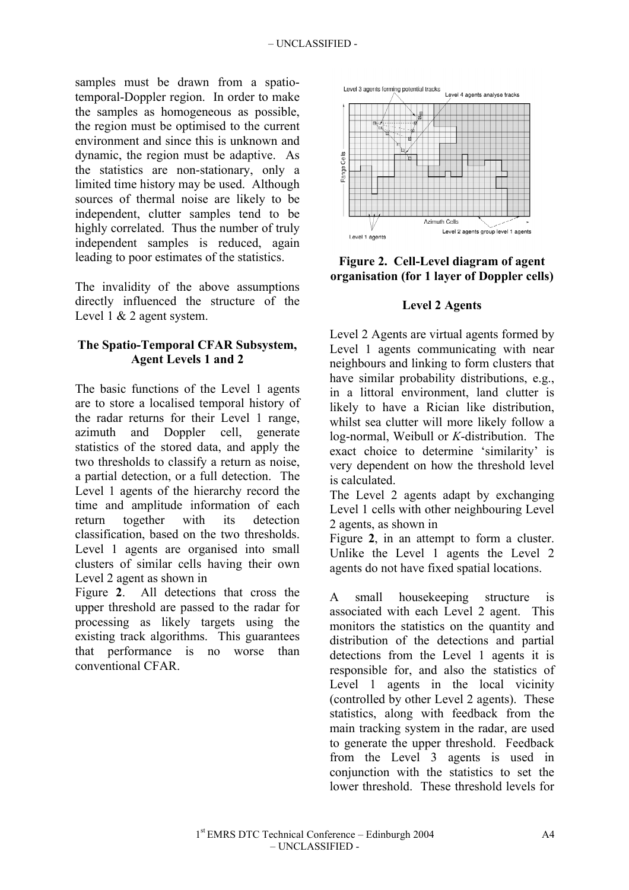samples must be drawn from a spatiotemporal-Doppler region. In order to make the samples as homogeneous as possible, the region must be optimised to the current environment and since this is unknown and dynamic, the region must be adaptive. As the statistics are non-stationary, only a limited time history may be used. Although sources of thermal noise are likely to be independent, clutter samples tend to be highly correlated. Thus the number of truly independent samples is reduced, again leading to poor estimates of the statistics.

The invalidity of the above assumptions directly influenced the structure of the Level 1 & 2 agent system.

# **The Spatio-Temporal CFAR Subsystem, Agent Levels 1 and 2**

The basic functions of the Level 1 agents are to store a localised temporal history of the radar returns for their Level 1 range, azimuth and Doppler cell, generate statistics of the stored data, and apply the two thresholds to classify a return as noise, a partial detection, or a full detection. The Level 1 agents of the hierarchy record the time and amplitude information of each return together with its detection classification, based on the two thresholds. Level 1 agents are organised into small clusters of similar cells having their own Level 2 agent as shown in

Figure **2**. All detections that cross the upper threshold are passed to the radar for processing as likely targets using the existing track algorithms. This guarantees that performance is no worse than conventional CFAR.



**Figure 2. Cell-Level diagram of agent organisation (for 1 layer of Doppler cells)**

## **Level 2 Agents**

Level 2 Agents are virtual agents formed by Level 1 agents communicating with near neighbours and linking to form clusters that have similar probability distributions, e.g., in a littoral environment, land clutter is likely to have a Rician like distribution, whilst sea clutter will more likely follow a log-normal, Weibull or *K*-distribution. The exact choice to determine 'similarity' is very dependent on how the threshold level is calculated.

The Level 2 agents adapt by exchanging Level 1 cells with other neighbouring Level 2 agents, as shown in

Figure **2**, in an attempt to form a cluster. Unlike the Level 1 agents the Level 2 agents do not have fixed spatial locations.

A small housekeeping structure is associated with each Level 2 agent. This monitors the statistics on the quantity and distribution of the detections and partial detections from the Level 1 agents it is responsible for, and also the statistics of Level 1 agents in the local vicinity (controlled by other Level 2 agents). These statistics, along with feedback from the main tracking system in the radar, are used to generate the upper threshold. Feedback from the Level 3 agents is used in conjunction with the statistics to set the lower threshold. These threshold levels for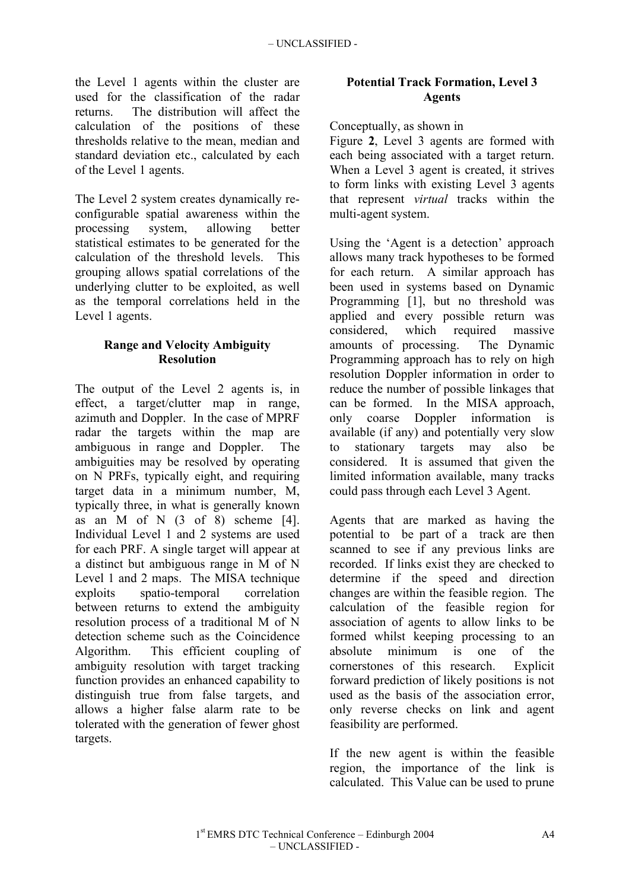the Level 1 agents within the cluster are used for the classification of the radar returns. The distribution will affect the calculation of the positions of these thresholds relative to the mean, median and standard deviation etc., calculated by each of the Level 1 agents.

The Level 2 system creates dynamically reconfigurable spatial awareness within the processing system, allowing better statistical estimates to be generated for the calculation of the threshold levels. This grouping allows spatial correlations of the underlying clutter to be exploited, as well as the temporal correlations held in the Level 1 agents.

## **Range and Velocity Ambiguity Resolution**

The output of the Level 2 agents is, in effect, a target/clutter map in range, azimuth and Doppler. In the case of MPRF radar the targets within the map are ambiguous in range and Doppler. The ambiguities may be resolved by operating on N PRFs, typically eight, and requiring target data in a minimum number, M, typically three, in what is generally known as an  $M$  of  $N$  (3 of 8) scheme [4]. Individual Level 1 and 2 systems are used for each PRF. A single target will appear at a distinct but ambiguous range in M of N Level 1 and 2 maps. The MISA technique exploits spatio-temporal correlation between returns to extend the ambiguity resolution process of a traditional M of N detection scheme such as the Coincidence Algorithm. This efficient coupling of ambiguity resolution with target tracking function provides an enhanced capability to distinguish true from false targets, and allows a higher false alarm rate to be tolerated with the generation of fewer ghost targets.

# **Potential Track Formation, Level 3 Agents**

### Conceptually, as shown in

Figure **2**, Level 3 agents are formed with each being associated with a target return. When a Level 3 agent is created, it strives to form links with existing Level 3 agents that represent *virtual* tracks within the multi-agent system.

Using the 'Agent is a detection' approach allows many track hypotheses to be formed for each return. A similar approach has been used in systems based on Dynamic Programming [1], but no threshold was applied and every possible return was considered, which required massive amounts of processing. The Dynamic Programming approach has to rely on high resolution Doppler information in order to reduce the number of possible linkages that can be formed. In the MISA approach, only coarse Doppler information is available (if any) and potentially very slow to stationary targets may also be considered. It is assumed that given the limited information available, many tracks could pass through each Level 3 Agent.

Agents that are marked as having the potential to be part of a track are then scanned to see if any previous links are recorded. If links exist they are checked to determine if the speed and direction changes are within the feasible region. The calculation of the feasible region for association of agents to allow links to be formed whilst keeping processing to an absolute minimum is one of the cornerstones of this research. Explicit forward prediction of likely positions is not used as the basis of the association error, only reverse checks on link and agent feasibility are performed.

If the new agent is within the feasible region, the importance of the link is calculated. This Value can be used to prune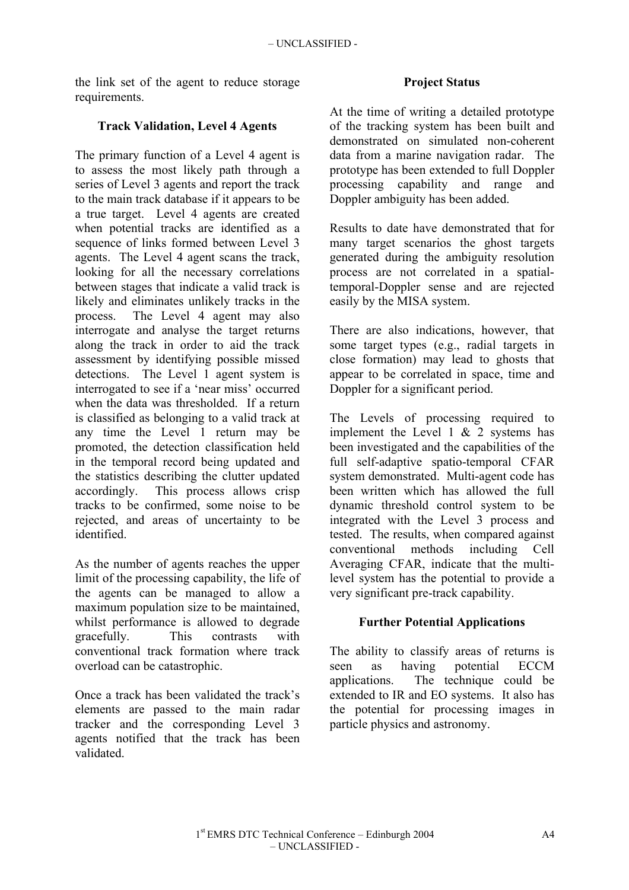the link set of the agent to reduce storage requirements.

## **Track Validation, Level 4 Agents**

The primary function of a Level 4 agent is to assess the most likely path through a series of Level 3 agents and report the track to the main track database if it appears to be a true target. Level 4 agents are created when potential tracks are identified as a sequence of links formed between Level 3 agents. The Level 4 agent scans the track, looking for all the necessary correlations between stages that indicate a valid track is likely and eliminates unlikely tracks in the process. The Level 4 agent may also interrogate and analyse the target returns along the track in order to aid the track assessment by identifying possible missed detections. The Level 1 agent system is interrogated to see if a 'near miss' occurred when the data was thresholded. If a return is classified as belonging to a valid track at any time the Level 1 return may be promoted, the detection classification held in the temporal record being updated and the statistics describing the clutter updated accordingly. This process allows crisp tracks to be confirmed, some noise to be rejected, and areas of uncertainty to be identified.

As the number of agents reaches the upper limit of the processing capability, the life of the agents can be managed to allow a maximum population size to be maintained, whilst performance is allowed to degrade gracefully. This contrasts with conventional track formation where track overload can be catastrophic.

Once a track has been validated the track's elements are passed to the main radar tracker and the corresponding Level 3 agents notified that the track has been validated.

## **Project Status**

At the time of writing a detailed prototype of the tracking system has been built and demonstrated on simulated non-coherent data from a marine navigation radar. The prototype has been extended to full Doppler processing capability and range and Doppler ambiguity has been added.

Results to date have demonstrated that for many target scenarios the ghost targets generated during the ambiguity resolution process are not correlated in a spatialtemporal-Doppler sense and are rejected easily by the MISA system.

There are also indications, however, that some target types (e.g., radial targets in close formation) may lead to ghosts that appear to be correlated in space, time and Doppler for a significant period.

The Levels of processing required to implement the Level 1  $& 2$  systems has been investigated and the capabilities of the full self-adaptive spatio-temporal CFAR system demonstrated. Multi-agent code has been written which has allowed the full dynamic threshold control system to be integrated with the Level 3 process and tested. The results, when compared against conventional methods including Cell Averaging CFAR, indicate that the multilevel system has the potential to provide a very significant pre-track capability.

## **Further Potential Applications**

The ability to classify areas of returns is seen as having potential ECCM applications. The technique could be extended to IR and EO systems. It also has the potential for processing images in particle physics and astronomy.